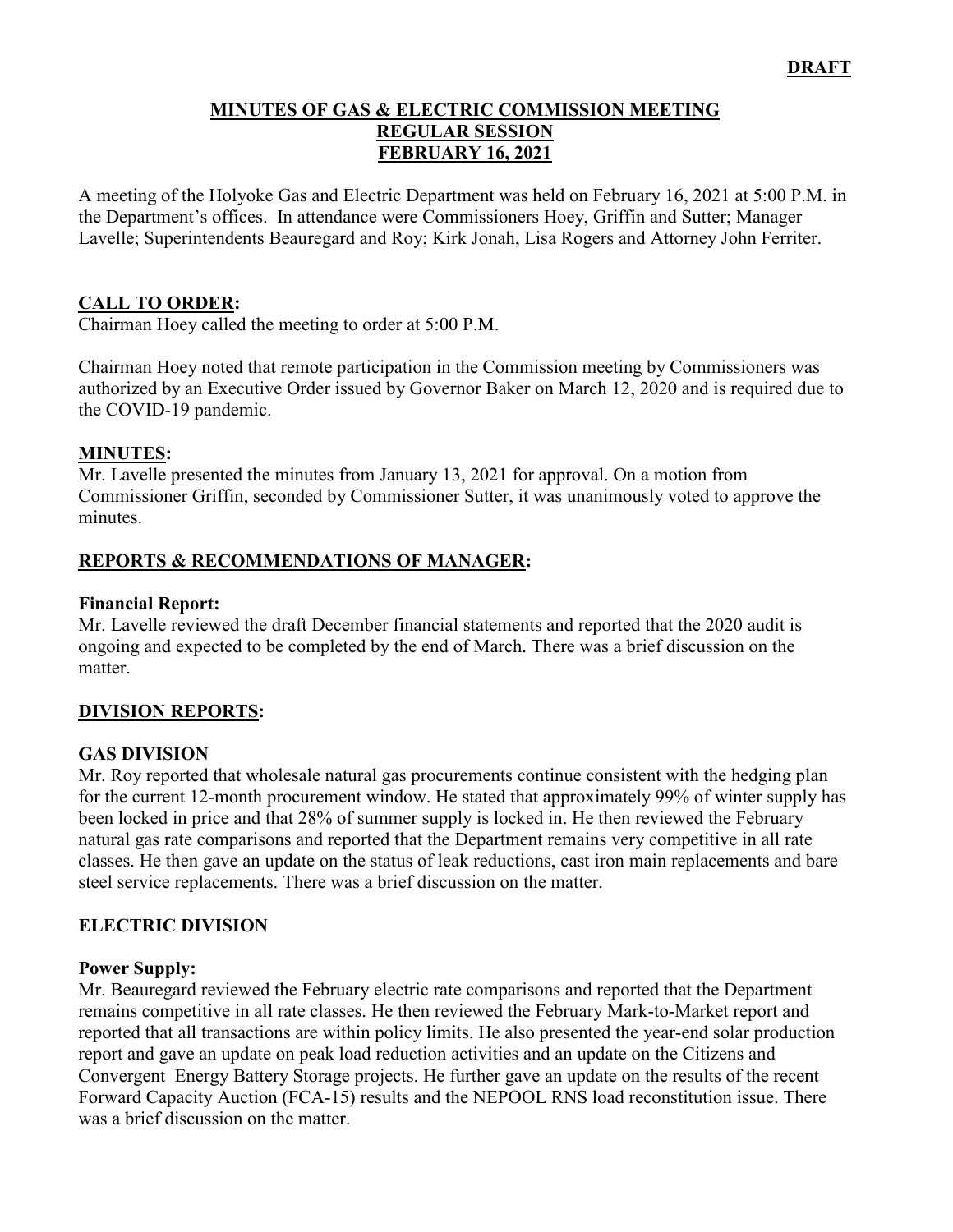#### **MINUTES OF GAS & ELECTRIC COMMISSION MEETING REGULAR SESSION FEBRUARY 16, 2021**

A meeting of the Holyoke Gas and Electric Department was held on February 16, 2021 at 5:00 P.M. in the Department's offices. In attendance were Commissioners Hoey, Griffin and Sutter; Manager Lavelle; Superintendents Beauregard and Roy; Kirk Jonah, Lisa Rogers and Attorney John Ferriter.

### **CALL TO ORDER:**

Chairman Hoey called the meeting to order at 5:00 P.M.

Chairman Hoey noted that remote participation in the Commission meeting by Commissioners was authorized by an Executive Order issued by Governor Baker on March 12, 2020 and is required due to the COVID-19 pandemic.

### **MINUTES:**

Mr. Lavelle presented the minutes from January 13, 2021 for approval. On a motion from Commissioner Griffin, seconded by Commissioner Sutter, it was unanimously voted to approve the minutes.

### **REPORTS & RECOMMENDATIONS OF MANAGER:**

#### **Financial Report:**

Mr. Lavelle reviewed the draft December financial statements and reported that the 2020 audit is ongoing and expected to be completed by the end of March. There was a brief discussion on the matter.

### **DIVISION REPORTS:**

### **GAS DIVISION**

Mr. Roy reported that wholesale natural gas procurements continue consistent with the hedging plan for the current 12-month procurement window. He stated that approximately 99% of winter supply has been locked in price and that 28% of summer supply is locked in. He then reviewed the February natural gas rate comparisons and reported that the Department remains very competitive in all rate classes. He then gave an update on the status of leak reductions, cast iron main replacements and bare steel service replacements. There was a brief discussion on the matter.

### **ELECTRIC DIVISION**

#### **Power Supply:**

Mr. Beauregard reviewed the February electric rate comparisons and reported that the Department remains competitive in all rate classes. He then reviewed the February Mark-to-Market report and reported that all transactions are within policy limits. He also presented the year-end solar production report and gave an update on peak load reduction activities and an update on the Citizens and Convergent Energy Battery Storage projects. He further gave an update on the results of the recent Forward Capacity Auction (FCA-15) results and the NEPOOL RNS load reconstitution issue. There was a brief discussion on the matter.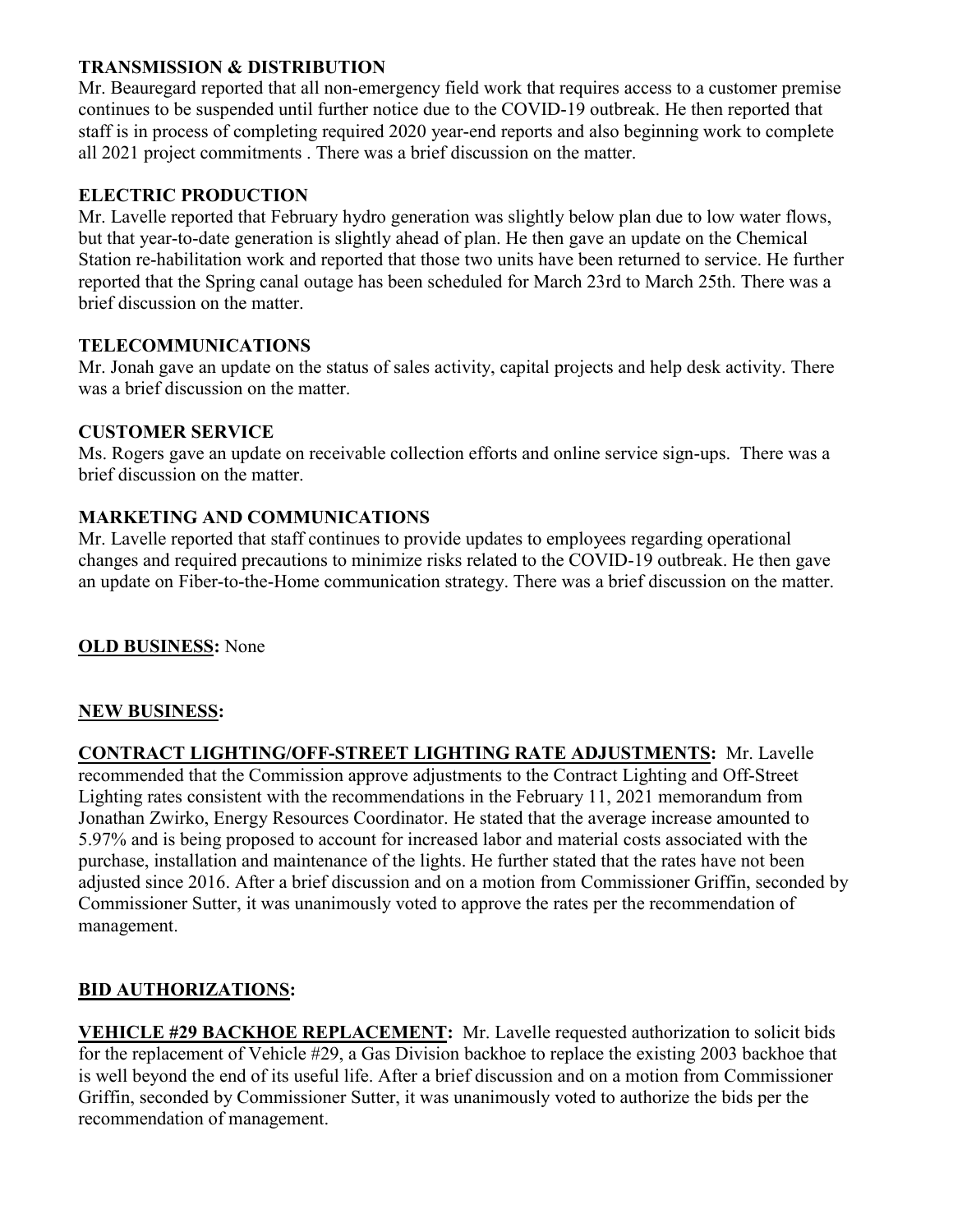## **TRANSMISSION & DISTRIBUTION**

Mr. Beauregard reported that all non-emergency field work that requires access to a customer premise continues to be suspended until further notice due to the COVID-19 outbreak. He then reported that staff is in process of completing required 2020 year-end reports and also beginning work to complete all 2021 project commitments . There was a brief discussion on the matter.

## **ELECTRIC PRODUCTION**

Mr. Lavelle reported that February hydro generation was slightly below plan due to low water flows, but that year-to-date generation is slightly ahead of plan. He then gave an update on the Chemical Station re-habilitation work and reported that those two units have been returned to service. He further reported that the Spring canal outage has been scheduled for March 23rd to March 25th. There was a brief discussion on the matter.

## **TELECOMMUNICATIONS**

Mr. Jonah gave an update on the status of sales activity, capital projects and help desk activity. There was a brief discussion on the matter.

## **CUSTOMER SERVICE**

Ms. Rogers gave an update on receivable collection efforts and online service sign-ups. There was a brief discussion on the matter.

## **MARKETING AND COMMUNICATIONS**

Mr. Lavelle reported that staff continues to provide updates to employees regarding operational changes and required precautions to minimize risks related to the COVID-19 outbreak. He then gave an update on Fiber-to-the-Home communication strategy. There was a brief discussion on the matter.

## **OLD BUSINESS:** None

### **NEW BUSINESS:**

**CONTRACT LIGHTING/OFF-STREET LIGHTING RATE ADJUSTMENTS:** Mr. Lavelle recommended that the Commission approve adjustments to the Contract Lighting and Off-Street Lighting rates consistent with the recommendations in the February 11, 2021 memorandum from Jonathan Zwirko, Energy Resources Coordinator. He stated that the average increase amounted to 5.97% and is being proposed to account for increased labor and material costs associated with the purchase, installation and maintenance of the lights. He further stated that the rates have not been adjusted since 2016. After a brief discussion and on a motion from Commissioner Griffin, seconded by Commissioner Sutter, it was unanimously voted to approve the rates per the recommendation of management.

## **BID AUTHORIZATIONS:**

**VEHICLE #29 BACKHOE REPLACEMENT:** Mr. Lavelle requested authorization to solicit bids for the replacement of Vehicle #29, a Gas Division backhoe to replace the existing 2003 backhoe that is well beyond the end of its useful life. After a brief discussion and on a motion from Commissioner Griffin, seconded by Commissioner Sutter, it was unanimously voted to authorize the bids per the recommendation of management.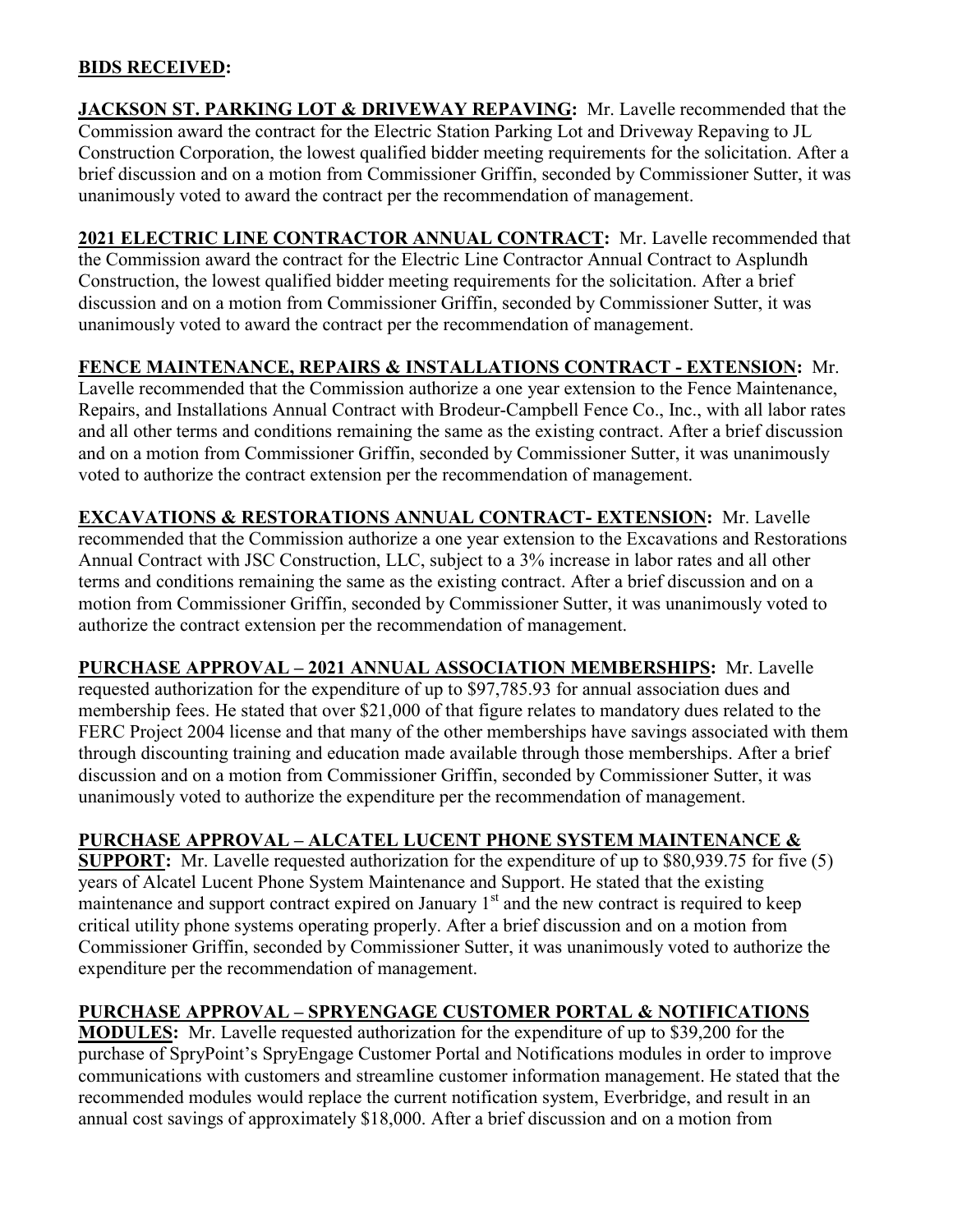## **BIDS RECEIVED:**

**JACKSON ST. PARKING LOT & DRIVEWAY REPAVING:** Mr. Lavelle recommended that the Commission award the contract for the Electric Station Parking Lot and Driveway Repaving to JL Construction Corporation, the lowest qualified bidder meeting requirements for the solicitation. After a brief discussion and on a motion from Commissioner Griffin, seconded by Commissioner Sutter, it was unanimously voted to award the contract per the recommendation of management.

**2021 ELECTRIC LINE CONTRACTOR ANNUAL CONTRACT:** Mr. Lavelle recommended that the Commission award the contract for the Electric Line Contractor Annual Contract to Asplundh Construction, the lowest qualified bidder meeting requirements for the solicitation. After a brief discussion and on a motion from Commissioner Griffin, seconded by Commissioner Sutter, it was unanimously voted to award the contract per the recommendation of management.

# **FENCE MAINTENANCE, REPAIRS & INSTALLATIONS CONTRACT - EXTENSION:** Mr.

Lavelle recommended that the Commission authorize a one year extension to the Fence Maintenance, Repairs, and Installations Annual Contract with Brodeur-Campbell Fence Co., Inc., with all labor rates and all other terms and conditions remaining the same as the existing contract. After a brief discussion and on a motion from Commissioner Griffin, seconded by Commissioner Sutter, it was unanimously voted to authorize the contract extension per the recommendation of management.

**EXCAVATIONS & RESTORATIONS ANNUAL CONTRACT- EXTENSION:** Mr. Lavelle recommended that the Commission authorize a one year extension to the Excavations and Restorations Annual Contract with JSC Construction, LLC, subject to a 3% increase in labor rates and all other terms and conditions remaining the same as the existing contract. After a brief discussion and on a motion from Commissioner Griffin, seconded by Commissioner Sutter, it was unanimously voted to authorize the contract extension per the recommendation of management.

**PURCHASE APPROVAL – 2021 ANNUAL ASSOCIATION MEMBERSHIPS:** Mr. Lavelle requested authorization for the expenditure of up to \$97,785.93 for annual association dues and membership fees. He stated that over \$21,000 of that figure relates to mandatory dues related to the FERC Project 2004 license and that many of the other memberships have savings associated with them through discounting training and education made available through those memberships. After a brief discussion and on a motion from Commissioner Griffin, seconded by Commissioner Sutter, it was unanimously voted to authorize the expenditure per the recommendation of management.

# **PURCHASE APPROVAL – ALCATEL LUCENT PHONE SYSTEM MAINTENANCE &**

**SUPPORT:** Mr. Lavelle requested authorization for the expenditure of up to \$80,939.75 for five (5) years of Alcatel Lucent Phone System Maintenance and Support. He stated that the existing maintenance and support contract expired on January  $1<sup>st</sup>$  and the new contract is required to keep critical utility phone systems operating properly. After a brief discussion and on a motion from Commissioner Griffin, seconded by Commissioner Sutter, it was unanimously voted to authorize the expenditure per the recommendation of management.

# **PURCHASE APPROVAL – SPRYENGAGE CUSTOMER PORTAL & NOTIFICATIONS**

**MODULES:** Mr. Lavelle requested authorization for the expenditure of up to \$39,200 for the purchase of SpryPoint's SpryEngage Customer Portal and Notifications modules in order to improve communications with customers and streamline customer information management. He stated that the recommended modules would replace the current notification system, Everbridge, and result in an annual cost savings of approximately \$18,000. After a brief discussion and on a motion from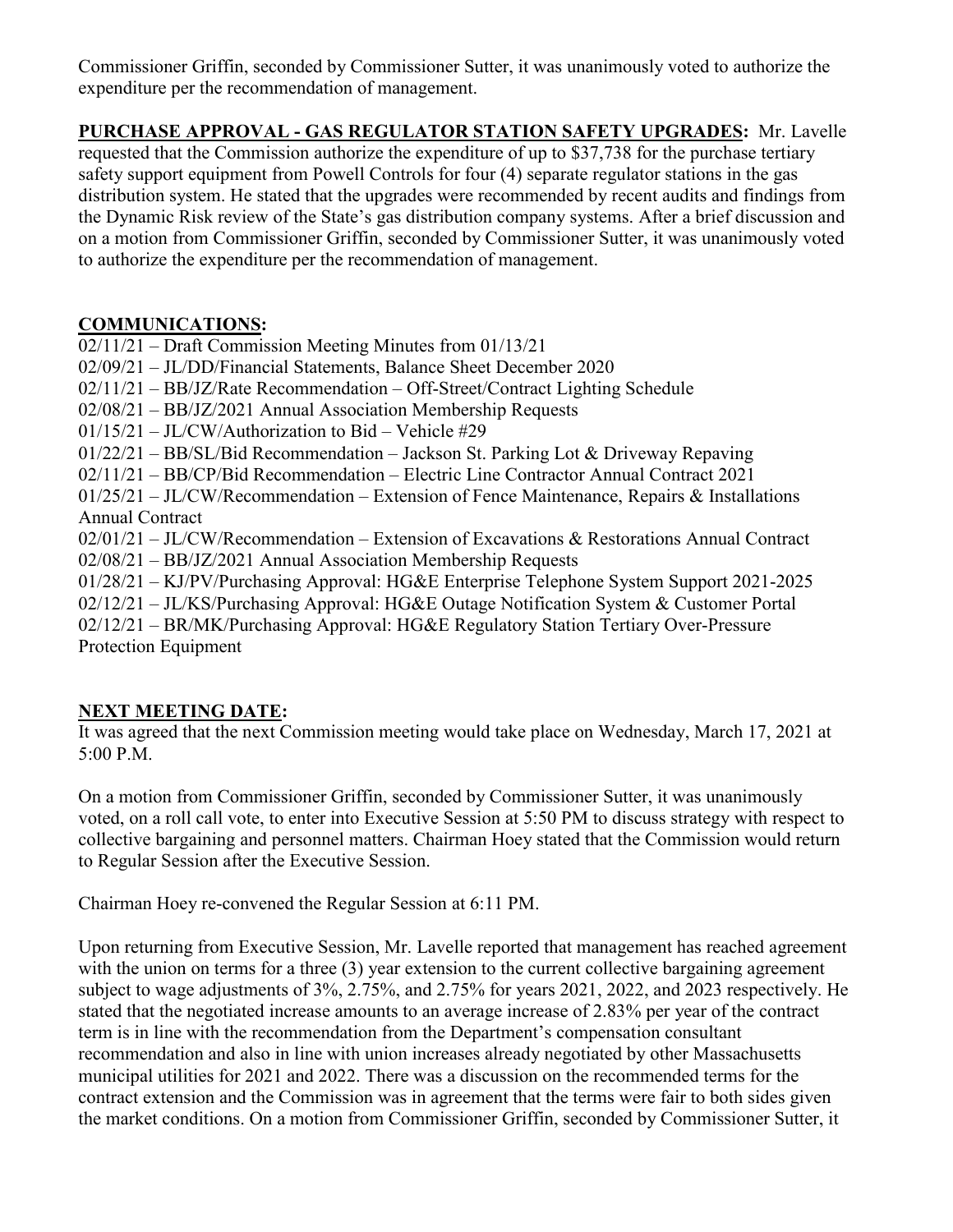Commissioner Griffin, seconded by Commissioner Sutter, it was unanimously voted to authorize the expenditure per the recommendation of management.

**PURCHASE APPROVAL - GAS REGULATOR STATION SAFETY UPGRADES:** Mr. Lavelle requested that the Commission authorize the expenditure of up to \$37,738 for the purchase tertiary safety support equipment from Powell Controls for four (4) separate regulator stations in the gas distribution system. He stated that the upgrades were recommended by recent audits and findings from the Dynamic Risk review of the State's gas distribution company systems. After a brief discussion and on a motion from Commissioner Griffin, seconded by Commissioner Sutter, it was unanimously voted to authorize the expenditure per the recommendation of management.

# **COMMUNICATIONS:**

02/11/21 – Draft Commission Meeting Minutes from 01/13/21 02/09/21 – JL/DD/Financial Statements, Balance Sheet December 2020 02/11/21 – BB/JZ/Rate Recommendation – Off-Street/Contract Lighting Schedule 02/08/21 – BB/JZ/2021 Annual Association Membership Requests 01/15/21 – JL/CW/Authorization to Bid – Vehicle #29 01/22/21 – BB/SL/Bid Recommendation – Jackson St. Parking Lot & Driveway Repaving 02/11/21 – BB/CP/Bid Recommendation – Electric Line Contractor Annual Contract 2021 01/25/21 – JL/CW/Recommendation – Extension of Fence Maintenance, Repairs & Installations Annual Contract 02/01/21 – JL/CW/Recommendation – Extension of Excavations & Restorations Annual Contract 02/08/21 – BB/JZ/2021 Annual Association Membership Requests 01/28/21 – KJ/PV/Purchasing Approval: HG&E Enterprise Telephone System Support 2021-2025 02/12/21 – JL/KS/Purchasing Approval: HG&E Outage Notification System & Customer Portal 02/12/21 – BR/MK/Purchasing Approval: HG&E Regulatory Station Tertiary Over-Pressure

Protection Equipment

# **NEXT MEETING DATE:**

It was agreed that the next Commission meeting would take place on Wednesday, March 17, 2021 at 5:00 P.M.

On a motion from Commissioner Griffin, seconded by Commissioner Sutter, it was unanimously voted, on a roll call vote, to enter into Executive Session at 5:50 PM to discuss strategy with respect to collective bargaining and personnel matters. Chairman Hoey stated that the Commission would return to Regular Session after the Executive Session.

Chairman Hoey re-convened the Regular Session at 6:11 PM.

Upon returning from Executive Session, Mr. Lavelle reported that management has reached agreement with the union on terms for a three (3) year extension to the current collective bargaining agreement subject to wage adjustments of 3%, 2.75%, and 2.75% for years 2021, 2022, and 2023 respectively. He stated that the negotiated increase amounts to an average increase of 2.83% per year of the contract term is in line with the recommendation from the Department's compensation consultant recommendation and also in line with union increases already negotiated by other Massachusetts municipal utilities for 2021 and 2022. There was a discussion on the recommended terms for the contract extension and the Commission was in agreement that the terms were fair to both sides given the market conditions. On a motion from Commissioner Griffin, seconded by Commissioner Sutter, it